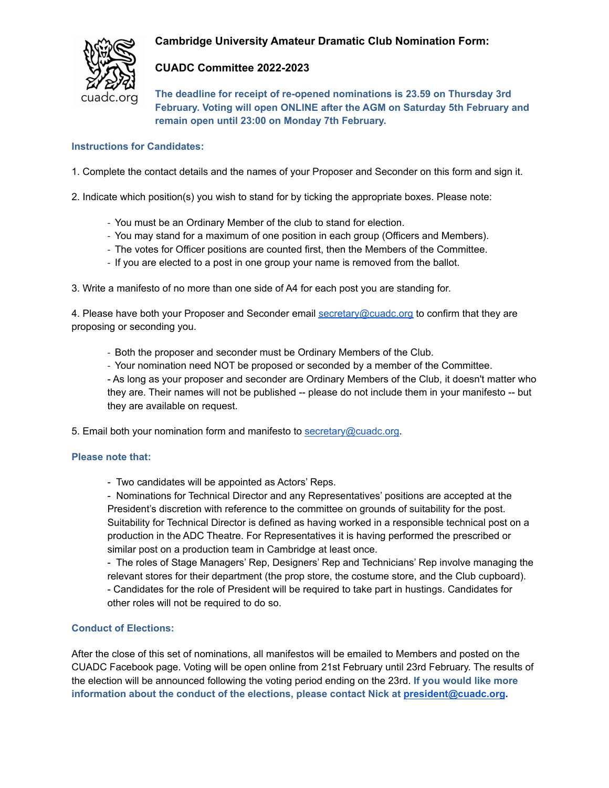# **Cambridge University Amateur Dramatic Club Nomination Form:**



## **CUADC Committee 2022-2023**

**The deadline for receipt of re-opened nominations is 23.59 on Thursday 3rd February. Voting will open ONLINE after the AGM on Saturday 5th February and remain open until 23:00 on Monday 7th February.**

## **Instructions for Candidates:**

1. Complete the contact details and the names of your Proposer and Seconder on this form and sign it.

2. Indicate which position(s) you wish to stand for by ticking the appropriate boxes. Please note:

- You must be an Ordinary Member of the club to stand for election.
- You may stand for a maximum of one position in each group (Officers and Members).
- The votes for Officer positions are counted first, then the Members of the Committee.
- If you are elected to a post in one group your name is removed from the ballot.

3. Write a manifesto of no more than one side of A4 for each post you are standing for.

4. Please have both your Proposer and Seconder email [secretary@cuadc.org](mailto:secretary@cuadc.org) to confirm that they are proposing or seconding you.

- Both the proposer and seconder must be Ordinary Members of the Club.
- Your nomination need NOT be proposed or seconded by a member of the Committee.

- As long as your proposer and seconder are Ordinary Members of the Club, it doesn't matter who they are. Their names will not be published -- please do not include them in your manifesto -- but they are available on request.

5. Email both your nomination form and manifesto to [secretary@cuadc.org.](mailto:secretary@cuadc.org)

#### **Please note that:**

- Two candidates will be appointed as Actors' Reps.

- Nominations for Technical Director and any Representatives' positions are accepted at the President's discretion with reference to the committee on grounds of suitability for the post. Suitability for Technical Director is defined as having worked in a responsible technical post on a production in the ADC Theatre. For Representatives it is having performed the prescribed or similar post on a production team in Cambridge at least once.

- The roles of Stage Managers' Rep, Designers' Rep and Technicians' Rep involve managing the relevant stores for their department (the prop store, the costume store, and the Club cupboard). - Candidates for the role of President will be required to take part in hustings. Candidates for other roles will not be required to do so.

## **Conduct of Elections:**

After the close of this set of nominations, all manifestos will be emailed to Members and posted on the CUADC Facebook page. Voting will be open online from 21st February until 23rd February. The results of the election will be announced following the voting period ending on the 23rd. **If you would like more information about the conduct of the elections, please contact Nick at [president@cuadc.org](mailto:president@cuadc.org).**